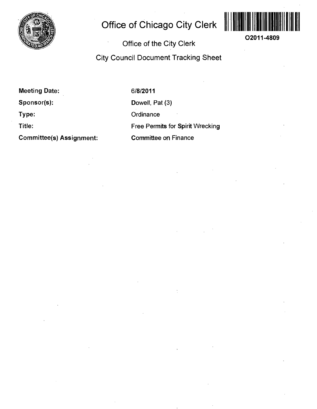

## **Office of Chicago City Clerk**



**02011-4809** 

**Office of the City Clerk** 

**City Council Document Tracking Sheet** 

**Meeting Date:** 

**Sponsor(s):** 

**Type:** 

**Title:** 

**Committee(s) Assignment:** 

6/8/2011 Dowell, Pat (3) **Ordinance** Free Permits for Spirit Wrecking Committee on Finance